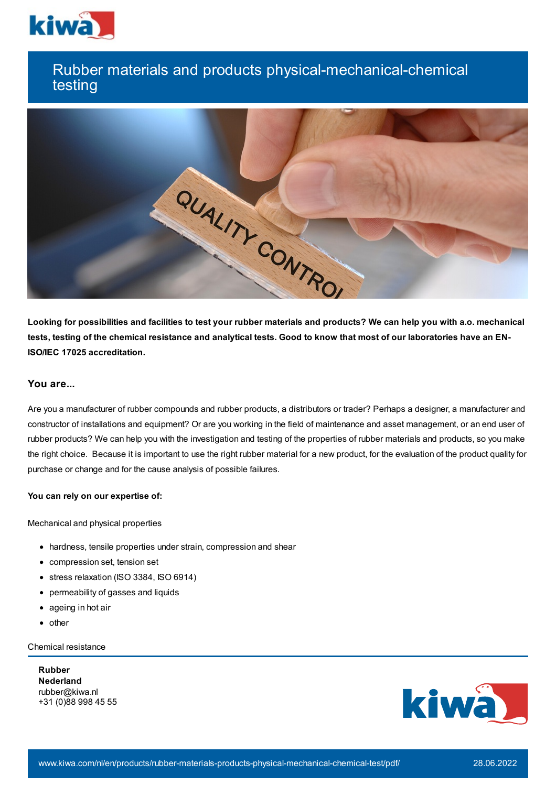

# Rubber materials and products physical-mechanical-chemical testing



Looking for possibilities and facilities to test your rubber materials and products? We can help you with a.o. mechanical tests, testing of the chemical resistance and analytical tests. Good to know that most of our laboratories have an EN-**ISO/IEC 17025 accreditation.**

## **You are...**

Are you a manufacturer of rubber compounds and rubber products, a distributors or trader? Perhaps a designer, a manufacturer and constructor of installations and equipment? Or are you working in the field of maintenance and asset management, or an end user of rubber products? We can help you with the investigation and testing of the properties of rubber materials and products, so you make the right choice. Because it is important to use the right rubber material for a new product, for the evaluation of the product quality for purchase or change and for the cause analysis of possible failures.

#### **You can rely on our expertise of:**

Mechanical and physical properties

- hardness, tensile properties under strain, compression and shear
- compression set, tension set
- stress relaxation (ISO 3384, ISO 6914)
- permeability of gasses and liquids
- ageing in hot air
- $\bullet$  other

Chemical resistance

**Rubber Nederland** rubber@kiwa.nl +31 (0)88 998 45 55